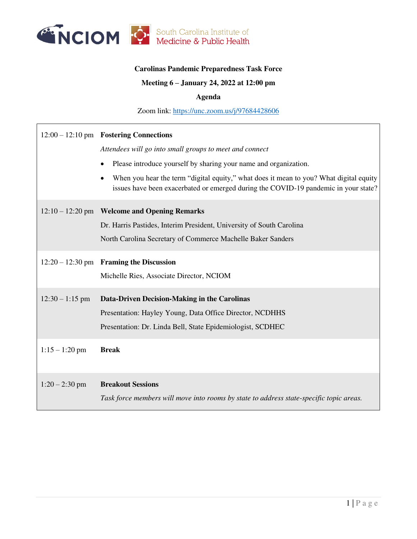

## **Carolinas Pandemic Preparedness Task Force**

## **Meeting 6 – January 24, 2022 at 12:00 pm**

### **Agenda**

Zoom link:<https://unc.zoom.us/j/97684428606>

|                   | $12:00 - 12:10$ pm Fostering Connections                                                                                                                                      |  |  |
|-------------------|-------------------------------------------------------------------------------------------------------------------------------------------------------------------------------|--|--|
|                   | Attendees will go into small groups to meet and connect                                                                                                                       |  |  |
|                   | Please introduce yourself by sharing your name and organization.                                                                                                              |  |  |
|                   | When you hear the term "digital equity," what does it mean to you? What digital equity<br>issues have been exacerbated or emerged during the COVID-19 pandemic in your state? |  |  |
|                   | 12:10 - 12:20 pm Welcome and Opening Remarks                                                                                                                                  |  |  |
|                   | Dr. Harris Pastides, Interim President, University of South Carolina                                                                                                          |  |  |
|                   | North Carolina Secretary of Commerce Machelle Baker Sanders                                                                                                                   |  |  |
|                   | 12:20 - 12:30 pm Framing the Discussion                                                                                                                                       |  |  |
|                   | Michelle Ries, Associate Director, NCIOM                                                                                                                                      |  |  |
| $12:30 - 1:15$ pm | Data-Driven Decision-Making in the Carolinas                                                                                                                                  |  |  |
|                   | Presentation: Hayley Young, Data Office Director, NCDHHS                                                                                                                      |  |  |
|                   | Presentation: Dr. Linda Bell, State Epidemiologist, SCDHEC                                                                                                                    |  |  |
| $1:15 - 1:20$ pm  | <b>Break</b>                                                                                                                                                                  |  |  |
| $1:20 - 2:30$ pm  | <b>Breakout Sessions</b>                                                                                                                                                      |  |  |
|                   | Task force members will move into rooms by state to address state-specific topic areas.                                                                                       |  |  |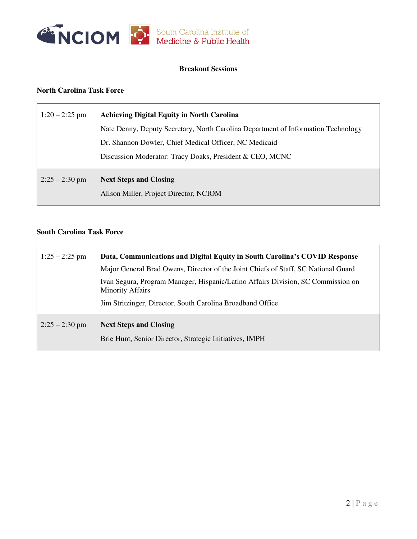

## **Breakout Sessions**

# **North Carolina Task Force**

| $1:20 - 2:25$ pm | <b>Achieving Digital Equity in North Carolina</b>                                 |
|------------------|-----------------------------------------------------------------------------------|
|                  | Nate Denny, Deputy Secretary, North Carolina Department of Information Technology |
|                  | Dr. Shannon Dowler, Chief Medical Officer, NC Medicaid                            |
|                  | Discussion Moderator: Tracy Doaks, President & CEO, MCNC                          |
| $2:25 - 2:30$ pm | <b>Next Steps and Closing</b>                                                     |
|                  | Alison Miller, Project Director, NCIOM                                            |

### **South Carolina Task Force**

| $1:25 - 2:25$ pm | Data, Communications and Digital Equity in South Carolina's COVID Response                                  |
|------------------|-------------------------------------------------------------------------------------------------------------|
|                  | Major General Brad Owens, Director of the Joint Chiefs of Staff, SC National Guard                          |
|                  | Ivan Segura, Program Manager, Hispanic/Latino Affairs Division, SC Commission on<br><b>Minority Affairs</b> |
|                  | Jim Stritzinger, Director, South Carolina Broadband Office                                                  |
| $2:25 - 2:30$ pm | <b>Next Steps and Closing</b>                                                                               |
|                  | Brie Hunt, Senior Director, Strategic Initiatives, IMPH                                                     |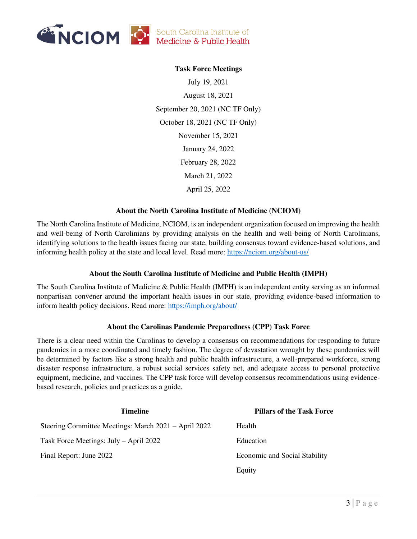

## **Task Force Meetings**

July 19, 2021 August 18, 2021 September 20, 2021 (NC TF Only) October 18, 2021 (NC TF Only) November 15, 2021 January 24, 2022 February 28, 2022 March 21, 2022 April 25, 2022

#### **About the North Carolina Institute of Medicine (NCIOM)**

The North Carolina Institute of Medicine, NCIOM, is an independent organization focused on improving the health and well-being of North Carolinians by providing analysis on the health and well-being of North Carolinians, identifying solutions to the health issues facing our state, building consensus toward evidence-based solutions, and informing health policy at the state and local level. Read more:<https://nciom.org/about-us/>

### **About the South Carolina Institute of Medicine and Public Health (IMPH)**

The South Carolina Institute of Medicine & Public Health (IMPH) is an independent entity serving as an informed nonpartisan convener around the important health issues in our state, providing evidence-based information to inform health policy decisions. Read more:<https://imph.org/about/>

### **About the Carolinas Pandemic Preparedness (CPP) Task Force**

There is a clear need within the Carolinas to develop a consensus on recommendations for responding to future pandemics in a more coordinated and timely fashion. The degree of devastation wrought by these pandemics will be determined by factors like a strong health and public health infrastructure, a well-prepared workforce, strong disaster response infrastructure, a robust social services safety net, and adequate access to personal protective equipment, medicine, and vaccines. The CPP task force will develop consensus recommendations using evidencebased research, policies and practices as a guide.

| <b>Timeline</b>                                      | <b>Pillars of the Task Force</b>     |
|------------------------------------------------------|--------------------------------------|
| Steering Committee Meetings: March 2021 – April 2022 | Health                               |
| Task Force Meetings: July – April 2022               | Education                            |
| Final Report: June 2022                              | <b>Economic and Social Stability</b> |
|                                                      | Equity                               |